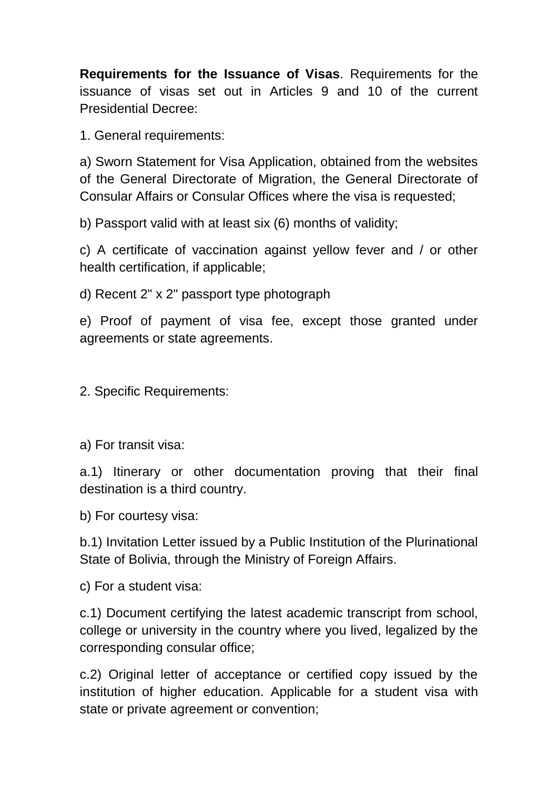**Requirements for the Issuance of Visas**. Requirements for the issuance of visas set out in Articles 9 and 10 of the current Presidential Decree:

1. General requirements:

a) Sworn Statement for Visa Application, obtained from the websites of the General Directorate of Migration, the General Directorate of Consular Affairs or Consular Offices where the visa is requested;

b) Passport valid with at least six (6) months of validity;

c) A certificate of vaccination against yellow fever and / or other health certification, if applicable;

d) Recent 2" x 2" passport type photograph

e) Proof of payment of visa fee, except those granted under agreements or state agreements.

2. Specific Requirements:

a) For transit visa:

a.1) Itinerary or other documentation proving that their final destination is a third country.

b) For courtesy visa:

b.1) Invitation Letter issued by a Public Institution of the Plurinational State of Bolivia, through the Ministry of Foreign Affairs.

c) For a student visa:

c.1) Document certifying the latest academic transcript from school, college or university in the country where you lived, legalized by the corresponding consular office;

c.2) Original letter of acceptance or certified copy issued by the institution of higher education. Applicable for a student visa with state or private agreement or convention;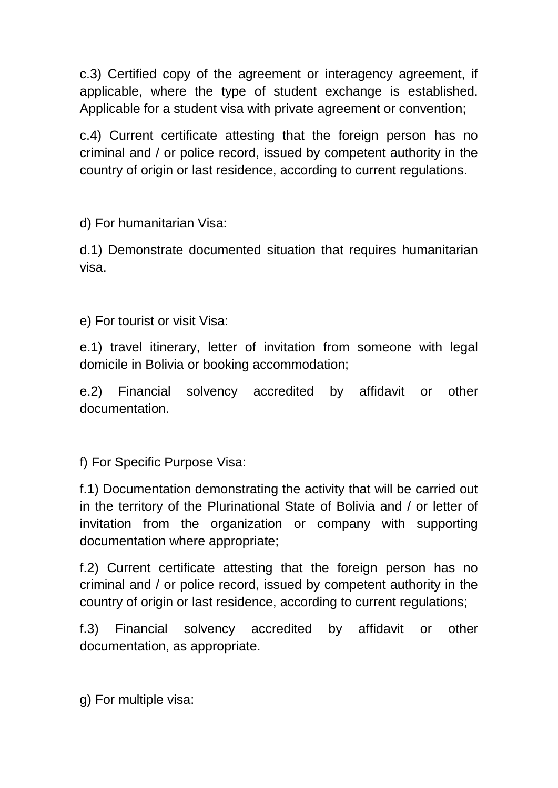c.3) Certified copy of the agreement or interagency agreement, if applicable, where the type of student exchange is established. Applicable for a student visa with private agreement or convention;

c.4) Current certificate attesting that the foreign person has no criminal and / or police record, issued by competent authority in the country of origin or last residence, according to current regulations.

d) For humanitarian Visa:

d.1) Demonstrate documented situation that requires humanitarian visa.

e) For tourist or visit Visa:

e.1) travel itinerary, letter of invitation from someone with legal domicile in Bolivia or booking accommodation;

e.2) Financial solvency accredited by affidavit or other documentation.

f) For Specific Purpose Visa:

f.1) Documentation demonstrating the activity that will be carried out in the territory of the Plurinational State of Bolivia and / or letter of invitation from the organization or company with supporting documentation where appropriate;

f.2) Current certificate attesting that the foreign person has no criminal and / or police record, issued by competent authority in the country of origin or last residence, according to current regulations;

f.3) Financial solvency accredited by affidavit or other documentation, as appropriate.

g) For multiple visa: